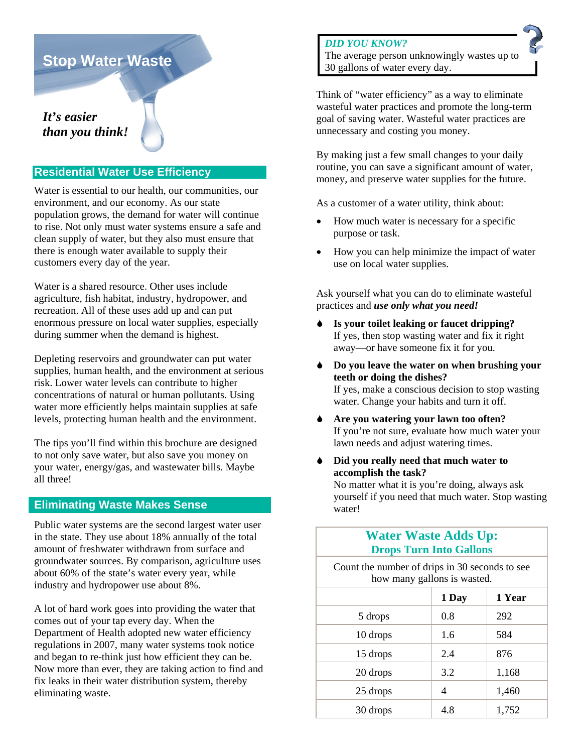# **Stop Water Waste**

# *It's easier than you think!*

### **Residential Water Use Efficiency**

Water is essential to our health, our communities, our environment, and our economy. As our state population grows, the demand for water will continue to rise. Not only must water systems ensure a safe and clean supply of water, but they also must ensure that there is enough water available to supply their customers every day of the year.

Water is a shared resource. Other uses include agriculture, fish habitat, industry, hydropower, and recreation. All of these uses add up and can put enormous pressure on local water supplies, especially during summer when the demand is highest.

Depleting reservoirs and groundwater can put water supplies, human health, and the environment at serious risk. Lower water levels can contribute to higher concentrations of natural or human pollutants. Using water more efficiently helps maintain supplies at safe levels, protecting human health and the environment.

The tips you'll find within this brochure are designed to not only save water, but also save you money on your water, energy/gas, and wastewater bills. Maybe all three!

#### **Eliminating Waste Makes Sense**

Public water systems are the second largest water user in the state. They use about 18% annually of the total amount of freshwater withdrawn from surface and groundwater sources. By comparison, agriculture uses about 60% of the state's water every year, while industry and hydropower use about 8%.

A lot of hard work goes into providing the water that comes out of your tap every day. When the Department of Health adopted new water efficiency regulations in 2007, many water systems took notice and began to re-think just how efficient they can be. Now more than ever, they are taking action to find and fix leaks in their water distribution system, thereby eliminating waste.

# *DID YOU KNOW?*

The average person unknowingly wastes up to 30 gallons of water every day.

Think of "water efficiency" as a way to eliminate wasteful water practices and promote the long-term goal of saving water. Wasteful water practices are unnecessary and costing you money.

By making just a few small changes to your daily routine, you can save a significant amount of water, money, and preserve water supplies for the future.

As a customer of a water utility, think about:

- How much water is necessary for a specific purpose or task.
- How you can help minimize the impact of water use on local water supplies.

Ask yourself what you can do to eliminate wasteful practices and *use only what you need!* 

- 6 **Is your toilet leaking or faucet dripping?**  If yes, then stop wasting water and fix it right away—or have someone fix it for you.
- 6 **Do you leave the water on when brushing your teeth or doing the dishes?**  If yes, make a conscious decision to stop wasting water. Change your habits and turn it off.
- 6 **Are you watering your lawn too often?**  If you're not sure, evaluate how much water your lawn needs and adjust watering times.
- 6 **Did you really need that much water to accomplish the task?**

No matter what it is you're doing, always ask yourself if you need that much water. Stop wasting water!

| <b>Water Waste Adds Up:</b><br><b>Drops Turn Into Gallons</b><br>Count the number of drips in 30 seconds to see<br>how many gallons is wasted. |     |       |
|------------------------------------------------------------------------------------------------------------------------------------------------|-----|-------|
|                                                                                                                                                |     |       |
| 5 drops                                                                                                                                        | 0.8 | 292   |
| 10 drops                                                                                                                                       | 1.6 | 584   |
| 15 drops                                                                                                                                       | 2.4 | 876   |
| 20 drops                                                                                                                                       | 3.2 | 1,168 |
| 25 drops                                                                                                                                       | 4   | 1,460 |
| 30 drops                                                                                                                                       | 4.8 | 1,752 |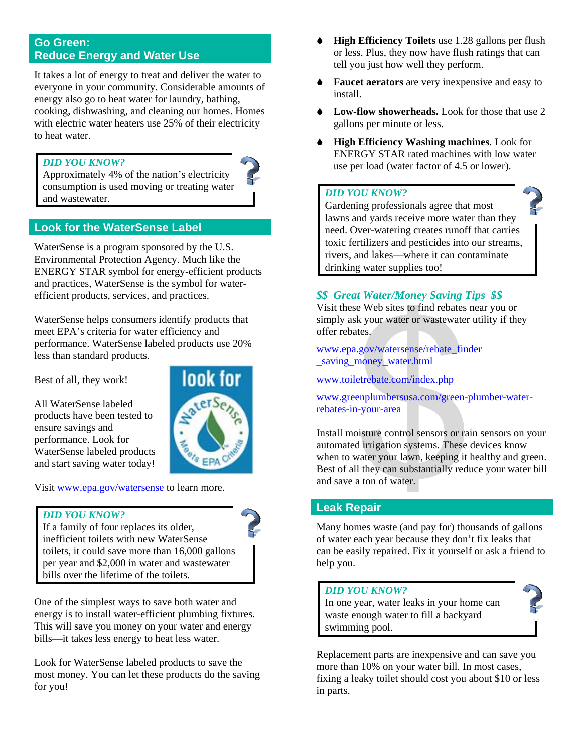# **Go Green: Reduce Energy and Water Use**

It takes a lot of energy to treat and deliver the water to everyone in your community. Considerable amounts of energy also go to heat water for laundry, bathing, cooking, dishwashing, and cleaning our homes. Homes with electric water heaters use 25% of their electricity to heat water.

## *DID YOU KNOW?*

Approximately 4% of the nation's electricity consumption is used moving or treating water and wastewater.

# **Look for the WaterSense Label**

WaterSense is a program sponsored by the U.S. Environmental Protection Agency. Much like the ENERGY STAR symbol for energy-efficient products and practices, WaterSense is the symbol for waterefficient products, services, and practices.

WaterSense helps consumers identify products that meet EPA's criteria for water efficiency and performance. WaterSense labeled products use 20% less than standard products.

Best of all, they work!

All WaterSense labeled products have been tested to ensure savings and performance. Look for WaterSense labeled products and start saving water today!



Visit www.epa.gov/watersense to learn more.

#### *DID YOU KNOW?*

If a family of four replaces its older, inefficient toilets with new WaterSense toilets, it could save more than 16,000 gallons per year and \$2,000 in water and wastewater bills over the lifetime of the toilets.



One of the simplest ways to save both water and energy is to install water-efficient plumbing fixtures. This will save you money on your water and energy bills—it takes less energy to heat less water.

Look for WaterSense labeled products to save the most money. You can let these products do the saving for you!

- 6 **High Efficiency Toilets** use 1.28 gallons per flush or less. Plus, they now have flush ratings that can tell you just how well they perform.
- 6 **Faucet aerators** are very inexpensive and easy to install.
- 6 **Low-flow showerheads.** Look for those that use 2 gallons per minute or less.
- 6 **High Efficiency Washing machines**. Look for ENERGY STAR rated machines with low water use per load (water factor of 4.5 or lower).

#### *DID YOU KNOW?*

Gardening professionals agree that most lawns and yards receive more water than they need. Over-watering creates runoff that carries toxic fertilizers and pesticides into our streams, rivers, and lakes—where it can contaminate drinking water supplies too!

# *\$\$ Great Water/Money Saving Tips \$\$*

Visit these Web sites to find rebates near you or simply ask your water or wastewater utility if they offer rebates.

www.epa.gov/watersense/rebate\_finder saving money water.html

www.toiletrebate.com/index.php

www.greenplumbersusa.com/green-plumber-waterrebates-in-your-area

Install moisture control sensors or rain sensors on your automated irrigation systems. These devices know when to water your lawn, keeping it healthy and green. Best of all they can substantially reduce your water bill and save a ton of water.

#### **Leak Repair**

Many homes waste (and pay for) thousands of gallons of water each year because they don't fix leaks that can be easily repaired. Fix it yourself or ask a friend to help you.

#### *DID YOU KNOW?*

In one year, water leaks in your home can waste enough water to fill a backyard swimming pool.



Replacement parts are inexpensive and can save you more than 10% on your water bill. In most cases, fixing a leaky toilet should cost you about \$10 or less in parts.